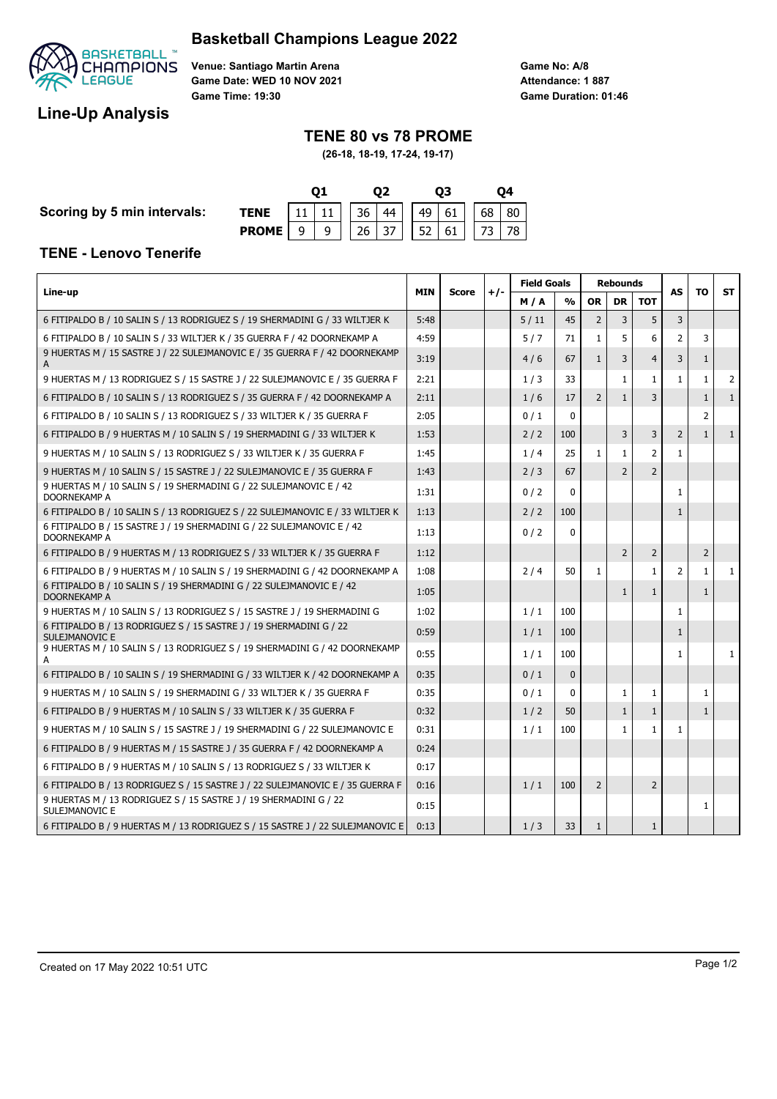# **Basketball Champions League 2022**



**Venue: Santiago Martin Arena Game Date: WED 10 NOV 2021 Game Time: 19:30**

**Game No: A/8 Game Duration: 01:46 Attendance: 1 887**

# **Line-Up Analysis**

## **TENE 80 vs 78 PROME**

**(26-18, 18-19, 17-24, 19-17)**

**Scoring by 5 min intervals:** 

| TENE                                                     |  |  |  |  | $11$   11   36   44     49   61     68   80 |  |  |  |  |  |  |  |
|----------------------------------------------------------|--|--|--|--|---------------------------------------------|--|--|--|--|--|--|--|
| <b>PROME</b>   9   9     26   37     52   61     73   78 |  |  |  |  |                                             |  |  |  |  |  |  |  |

#### **TENE - Lenovo Tenerife**

|                                                                                        |            |              |       | <b>Field Goals</b> |               | <b>Rebounds</b> |                |                | AS             |                | <b>ST</b>    |
|----------------------------------------------------------------------------------------|------------|--------------|-------|--------------------|---------------|-----------------|----------------|----------------|----------------|----------------|--------------|
| Line-up                                                                                | <b>MIN</b> | <b>Score</b> | $+/-$ | M/A                | $\frac{0}{0}$ | <b>OR</b>       | <b>DR</b>      | <b>TOT</b>     |                | TΟ             |              |
| 6 FITIPALDO B / 10 SALIN S / 13 RODRIGUEZ S / 19 SHERMADINI G / 33 WILTJER K           | 5:48       |              |       | 5/11               | 45            | $\overline{2}$  | 3              | 5              | 3              |                |              |
| 6 FITIPALDO B / 10 SALIN S / 33 WILTJER K / 35 GUERRA F / 42 DOORNEKAMP A              | 4:59       |              |       | 5/7                | 71            | 1               | 5              | 6              | $\overline{2}$ | 3              |              |
| 9 HUERTAS M / 15 SASTRE J / 22 SULEJMANOVIC E / 35 GUERRA F / 42 DOORNEKAMP<br>A       | 3:19       |              |       | 4/6                | 67            | $\mathbf{1}$    | 3              | $\overline{4}$ | 3              | $\mathbf{1}$   |              |
| 9 HUERTAS M / 13 RODRIGUEZ S / 15 SASTRE J / 22 SULEJMANOVIC E / 35 GUERRA F           | 2:21       |              |       | 1/3                | 33            |                 | $\mathbf{1}$   | $\mathbf{1}$   | $\mathbf{1}$   | $\mathbf{1}$   | 2            |
| 6 FITIPALDO B / 10 SALIN S / 13 RODRIGUEZ S / 35 GUERRA F / 42 DOORNEKAMP A            | 2:11       |              |       | 1/6                | 17            | $\overline{2}$  | $\mathbf{1}$   | 3              |                | $\mathbf{1}$   | $\mathbf{1}$ |
| 6 FITIPALDO B / 10 SALIN S / 13 RODRIGUEZ S / 33 WILTJER K / 35 GUERRA F               | 2:05       |              |       | 0/1                | $\mathbf{0}$  |                 |                |                |                | $\overline{2}$ |              |
| 6 FITIPALDO B / 9 HUERTAS M / 10 SALIN S / 19 SHERMADINI G / 33 WILTJER K              | 1:53       |              |       | 2/2                | 100           |                 | 3              | 3              | 2              | $\mathbf{1}$   | $\mathbf{1}$ |
| 9 HUERTAS M / 10 SALIN S / 13 RODRIGUEZ S / 33 WILTJER K / 35 GUERRA F                 | 1:45       |              |       | 1/4                | 25            | 1               | $\mathbf{1}$   | $\overline{2}$ | $\mathbf{1}$   |                |              |
| 9 HUERTAS M / 10 SALIN S / 15 SASTRE J / 22 SULEJMANOVIC E / 35 GUERRA F               | 1:43       |              |       | 2/3                | 67            |                 | $\overline{2}$ | $\overline{2}$ |                |                |              |
| 9 HUERTAS M / 10 SALIN S / 19 SHERMADINI G / 22 SULEJMANOVIC E / 42<br>DOORNEKAMP A    | 1:31       |              |       | 0/2                | $\Omega$      |                 |                |                | 1              |                |              |
| 6 FITIPALDO B / 10 SALIN S / 13 RODRIGUEZ S / 22 SULEJMANOVIC E / 33 WILTJER K         | 1:13       |              |       | 2/2                | 100           |                 |                |                | $\mathbf{1}$   |                |              |
| 6 FITIPALDO B / 15 SASTRE J / 19 SHERMADINI G / 22 SULEJMANOVIC E / 42<br>DOORNEKAMP A | 1:13       |              |       | 0/2                | $\mathbf{0}$  |                 |                |                |                |                |              |
| 6 FITIPALDO B / 9 HUERTAS M / 13 RODRIGUEZ S / 33 WILTJER K / 35 GUERRA F              | 1:12       |              |       |                    |               |                 | $\overline{2}$ | $\overline{2}$ |                | $\overline{2}$ |              |
| 6 FITIPALDO B / 9 HUERTAS M / 10 SALIN S / 19 SHERMADINI G / 42 DOORNEKAMP A           | 1:08       |              |       | 2/4                | 50            | $\mathbf{1}$    |                | $\mathbf{1}$   | $\overline{2}$ | $\mathbf{1}$   | 1            |
| 6 FITIPALDO B / 10 SALIN S / 19 SHERMADINI G / 22 SULEJMANOVIC E / 42<br>DOORNEKAMP A  | 1:05       |              |       |                    |               |                 | $\mathbf{1}$   | $\mathbf{1}$   |                | $\mathbf{1}$   |              |
| 9 HUERTAS M / 10 SALIN S / 13 RODRIGUEZ S / 15 SASTRE J / 19 SHERMADINI G              | 1:02       |              |       | 1/1                | 100           |                 |                |                | 1              |                |              |
| 6 FITIPALDO B / 13 RODRIGUEZ S / 15 SASTRE J / 19 SHERMADINI G / 22<br>SULEJMANOVIC E  | 0:59       |              |       | 1/1                | 100           |                 |                |                | $\mathbf{1}$   |                |              |
| 9 HUERTAS M / 10 SALIN S / 13 RODRIGUEZ S / 19 SHERMADINI G / 42 DOORNEKAMP<br>A       | 0:55       |              |       | 1/1                | 100           |                 |                |                | 1              |                | $\mathbf{1}$ |
| 6 FITIPALDO B / 10 SALIN S / 19 SHERMADINI G / 33 WILTJER K / 42 DOORNEKAMP A          | 0:35       |              |       | 0/1                | $\mathbf{0}$  |                 |                |                |                |                |              |
| 9 HUERTAS M / 10 SALIN S / 19 SHERMADINI G / 33 WILTJER K / 35 GUERRA F                | 0:35       |              |       | 0/1                | $\mathbf{0}$  |                 | $\mathbf{1}$   | 1              |                | $\mathbf{1}$   |              |
| 6 FITIPALDO B / 9 HUERTAS M / 10 SALIN S / 33 WILTJER K / 35 GUERRA F                  | 0:32       |              |       | 1/2                | 50            |                 | $\mathbf{1}$   | $\mathbf{1}$   |                | $\mathbf{1}$   |              |
| 9 HUERTAS M / 10 SALIN S / 15 SASTRE J / 19 SHERMADINI G / 22 SULEJMANOVIC E           | 0:31       |              |       | 1/1                | 100           |                 | $\mathbf{1}$   | $\mathbf{1}$   | $\mathbf{1}$   |                |              |
| 6 FITIPALDO B / 9 HUERTAS M / 15 SASTRE J / 35 GUERRA F / 42 DOORNEKAMP A              | 0:24       |              |       |                    |               |                 |                |                |                |                |              |
| 6 FITIPALDO B / 9 HUERTAS M / 10 SALIN S / 13 RODRIGUEZ S / 33 WILTJER K               | 0:17       |              |       |                    |               |                 |                |                |                |                |              |
| 6 FITIPALDO B / 13 RODRIGUEZ S / 15 SASTRE J / 22 SULEJMANOVIC E / 35 GUERRA F         | 0:16       |              |       | 1/1                | 100           | $\overline{2}$  |                | $\overline{2}$ |                |                |              |
| 9 HUERTAS M / 13 RODRIGUEZ S / 15 SASTRE J / 19 SHERMADINI G / 22<br>SULEJMANOVIC E    | 0:15       |              |       |                    |               |                 |                |                |                | 1              |              |
| 6 FITIPALDO B / 9 HUERTAS M / 13 RODRIGUEZ S / 15 SASTRE J / 22 SULEJMANOVIC E         | 0:13       |              |       | 1/3                | 33            | $\mathbf{1}$    |                | $\mathbf{1}$   |                |                |              |